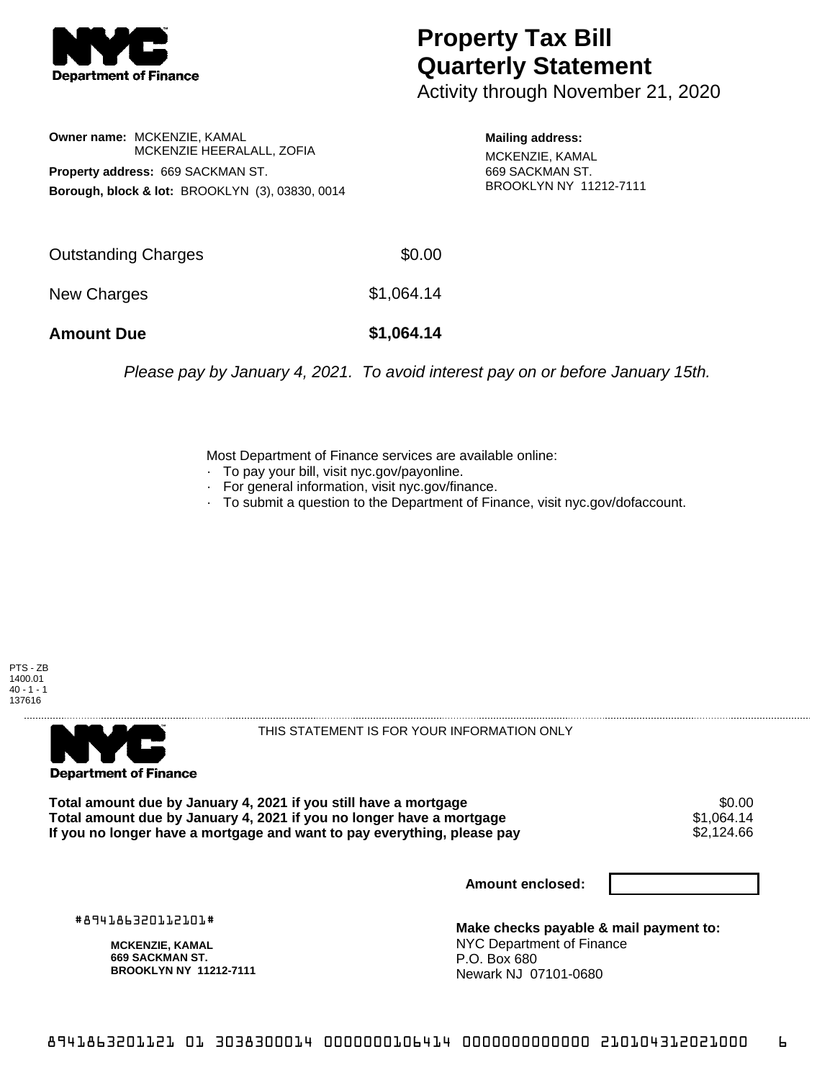

## **Property Tax Bill Quarterly Statement**

Activity through November 21, 2020

**Owner name:** MCKENZIE, KAMAL MCKENZIE HEERALALL, ZOFIA **Property address:** 669 SACKMAN ST. **Borough, block & lot:** BROOKLYN (3), 03830, 0014

**Mailing address:** MCKENZIE, KAMAL 669 SACKMAN ST. BROOKLYN NY 11212-7111

| <b>Amount Due</b>   | \$1,064.14 |
|---------------------|------------|
| New Charges         | \$1,064.14 |
| Outstanding Charges | \$0.00     |

Please pay by January 4, 2021. To avoid interest pay on or before January 15th.

Most Department of Finance services are available online:

- · To pay your bill, visit nyc.gov/payonline.
- For general information, visit nyc.gov/finance.
- · To submit a question to the Department of Finance, visit nyc.gov/dofaccount.





THIS STATEMENT IS FOR YOUR INFORMATION ONLY

Total amount due by January 4, 2021 if you still have a mortgage \$0.00<br>Total amount due by January 4, 2021 if you no longer have a mortgage \$1.064.14 **Total amount due by January 4, 2021 if you no longer have a mortgage**  $$1,064.14$$ **<br>If you no longer have a mortgage and want to pay everything, please pay**  $$2,124.66$$ If you no longer have a mortgage and want to pay everything, please pay

**Amount enclosed:**

#894186320112101#

**MCKENZIE, KAMAL 669 SACKMAN ST. BROOKLYN NY 11212-7111**

**Make checks payable & mail payment to:** NYC Department of Finance P.O. Box 680 Newark NJ 07101-0680